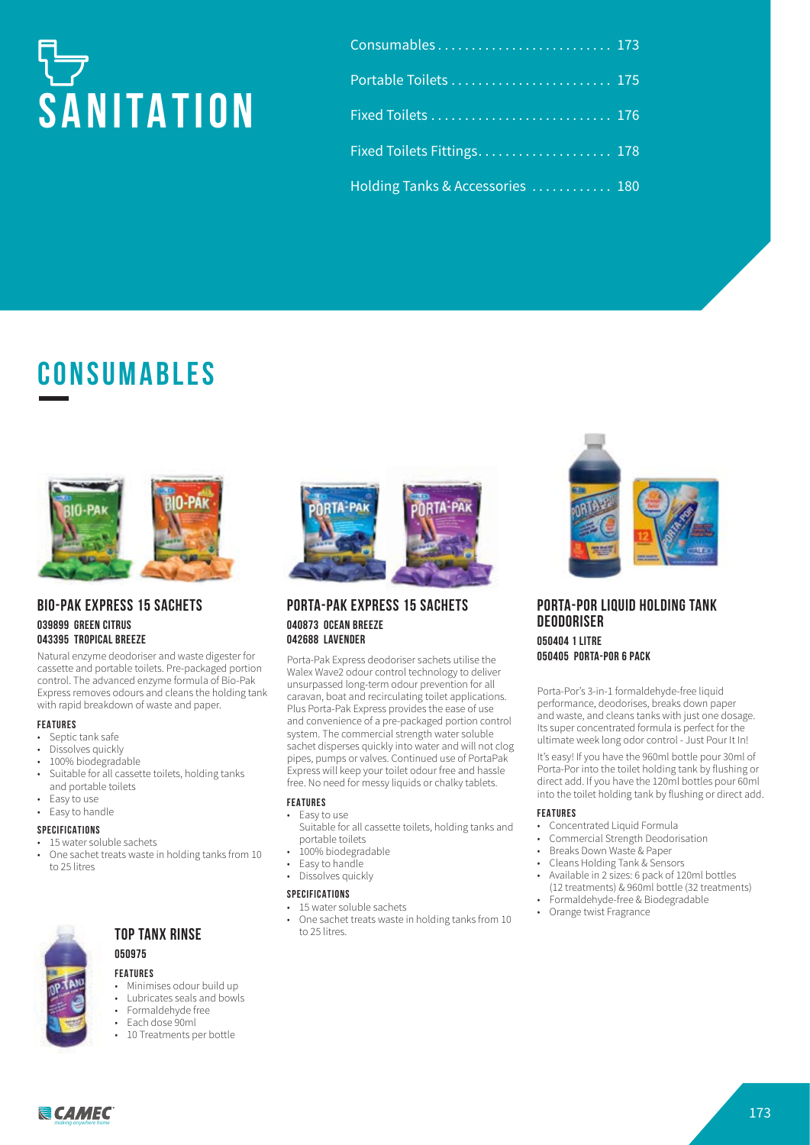# **SANITATION**

| Consumables 173                  |  |
|----------------------------------|--|
| Portable Toilets  175            |  |
|                                  |  |
| Fixed Toilets Fittings 178       |  |
| Holding Tanks & Accessories  180 |  |

## **CONSUMABLES**



#### **BIO-PAK EXPRESS 15 SACHETS 039899 GREEN CITRUS 043395 TROPICAL BREEZE**

Natural enzyme deodoriser and waste digester for cassette and portable toilets. Pre-packaged portion control. The advanced enzyme formula of Bio-Pak Express removes odours and cleans the holding tank with rapid breakdown of waste and paper.

#### **FEATURES**

- Septic tank safe<br>• Dissolves quickl
- Dissolves quickly
- 100% biodegradable
- Suitable for all cassette toilets, holding tanks and portable toilets
- Easy to use
- Easy to handle

#### **SPECIFICATIONS**

- 15 water soluble sachets
- One sachet treats waste in holding tanks from 10 to 25 litres



#### **TOP TANX RINSE**

#### **050975**

#### **FEATURES**

- Minimises odour build up
- Lubricates seals and bowls
- Formaldehyde free<br>• Each dose 90ml
- Each dose 90ml
- 10 Treatments per bottle



#### **PORTA-PAK EXPRESS 15 SACHETS 040873 OCEAN BREEZE 042688 LAVENDER**

Porta-Pak Express deodoriser sachets utilise the Walex Wave2 odour control technology to deliver unsurpassed long-term odour prevention for all caravan, boat and recirculating toilet applications. Plus Porta-Pak Express provides the ease of use and convenience of a pre-packaged portion control system. The commercial strength water soluble sachet disperses quickly into water and will not clog pipes, pumps or valves. Continued use of PortaPak Express will keep your toilet odour free and hassle free. No need for messy liquids or chalky tablets.

#### **FEATURES**

- Easy to use
- Suitable for all cassette toilets, holding tanks and portable toilets
- 100% biodegradable
- Easy to handle
- Dissolves quickly

#### **SPECIFICATIONS**

- 15 water soluble sachets
- One sachet treats waste in holding tanks from 10 to 25 litres.



#### **PORTA-POR LIQUID HOLDING TANK DEODORISER 050404 1 LITRE 050405 PORTA-POR 6 PACK**

Porta-Por's 3-in-1 formaldehyde-free liquid performance, deodorises, breaks down paper and waste, and cleans tanks with just one dosage. Its super concentrated formula is perfect for the ultimate week long odor control - Just Pour It In!

It's easy! If you have the 960ml bottle pour 30ml of Porta-Por into the toilet holding tank by flushing or direct add. If you have the 120ml bottles pour 60ml into the toilet holding tank by flushing or direct add.

#### **FEATURES**

- Concentrated Liquid Formula
- Commercial Strength Deodorisation
- Breaks Down Waste & Paper
- Cleans Holding Tank & Sensors
- Available in 2 sizes: 6 pack of 120ml bottles (12 treatments) & 960ml bottle (32 treatments)
- Formaldehyde-free & Biodegradable • Orange twist Fragrance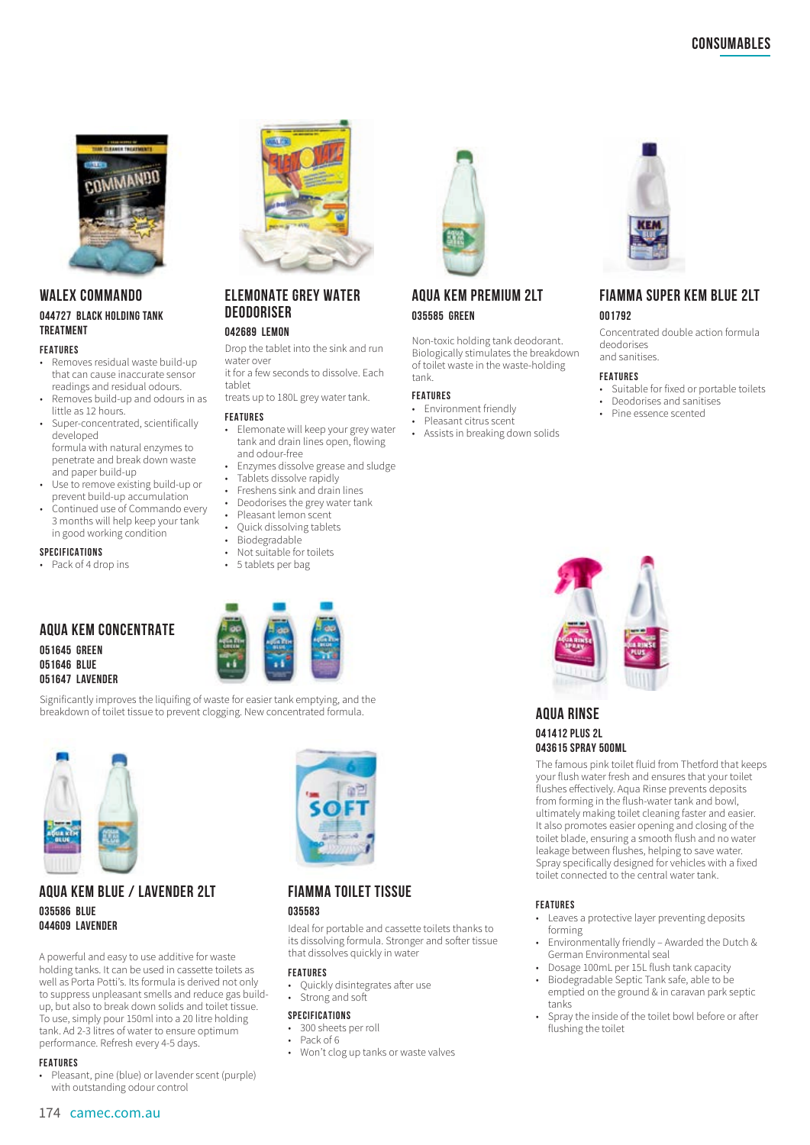

#### **WALEX COMMANDO 044727 BLACK HOLDING TANK TREATMENT**

#### **FEATURES**

- Removes residual waste build-up that can cause inaccurate sensor readings and residual odours.
- Removes build-up and odours in as little as 12 hours.
- Super-concentrated, scientifically developed formula with natural enzymes to penetrate and break down waste and paper build-up
- Use to remove existing build-up or prevent build-up accumulation
- Continued use of Commando every 3 months will help keep your tank in good working condition

#### **SPECIFICATIONS**

Pack of 4 drop ins

**051647 LAVENDER**

#### **AQUA KEM CONCENTRATE 051645 GREEN 051646 BLUE**



Significantly improves the liquifing of waste for easier tank emptying, and the breakdown of toilet tissue to prevent clogging. New concentrated formula. **ACUA RINSE** 



#### **AQUA KEM BLUE / LAVENDER 2LT 035586 BLUE 044609 LAVENDER**

A powerful and easy to use additive for waste holding tanks. It can be used in cassette toilets as well as Porta Potti's. Its formula is derived not only to suppress unpleasant smells and reduce gas buildup, but also to break down solids and toilet tissue. To use, simply pour 150ml into a 20 litre holding tank. Ad 2-3 litres of water to ensure optimum performance. Refresh every 4-5 days.

#### **FEATURES**

• Pleasant, pine (blue) or lavender scent (purple) with outstanding odour control



#### **ELEMONATE GREY WATER DEODORISER**

#### **042689 LEMON**

Drop the tablet into the sink and run water over

it for a few seconds to dissolve. Each tablet

treats up to 180L grey water tank.

#### **FEATURES**

- Elemonate will keep your grey water tank and drain lines open, flowing and odour-free
- Enzymes dissolve grease and sludge
- Tablets dissolve rapidly
- Freshens sink and drain lines
- Deodorises the grey water tank
- Pleasant lemon scent
- Quick dissolving tablets
- Biodegradable
- Not suitable for toilets 5 tablets per bag
- 





#### **FIAMMA TOILET TISSUE 035583**

Ideal for portable and cassette toilets thanks to its dissolving formula. Stronger and softer tissue that dissolves quickly in water

#### **FEATURES**

- Quickly disintegrates after use
- Strong and soft

#### **SPECIFICATIONS**

- 300 sheets per roll
- Pack of 6
- Won't clog up tanks or waste valves



#### **AQUA KEM PREMIUM 2LT 035585 GREEN**

Non-toxic holding tank deodorant. Biologically stimulates the breakdown of toilet waste in the waste-holding tank.

#### **FEATURES**

- Environment friendly
- Pleasant citrus scent
- Assists in breaking down solids



#### **FIAMMA SUPER KEM BLUE 2LT 001792**

Concentrated double action formula deodorises and sanitises.

#### **FEATURES**

- Suitable for fixed or portable toilets
- Deodorises and sanitises
- Pine essence scented



**043615 SPRAY 500ML**

The famous pink toilet fluid from Thetford that keeps your flush water fresh and ensures that your toilet flushes effectively. Aqua Rinse prevents deposits from forming in the flush-water tank and bowl, ultimately making toilet cleaning faster and easier. It also promotes easier opening and closing of the toilet blade, ensuring a smooth flush and no water leakage between flushes, helping to save water. Spray specifically designed for vehicles with a fixed toilet connected to the central water tank.

#### **FEATURES**

- Leaves a protective layer preventing deposits forming
- Environmentally friendly Awarded the Dutch & German Environmental seal
- Dosage 100mL per 15L flush tank capacity • Biodegradable Septic Tank safe, able to be
- emptied on the ground & in caravan park septic tanks
- Spray the inside of the toilet bowl before or after flushing the toilet



**041412 PLUS 2L**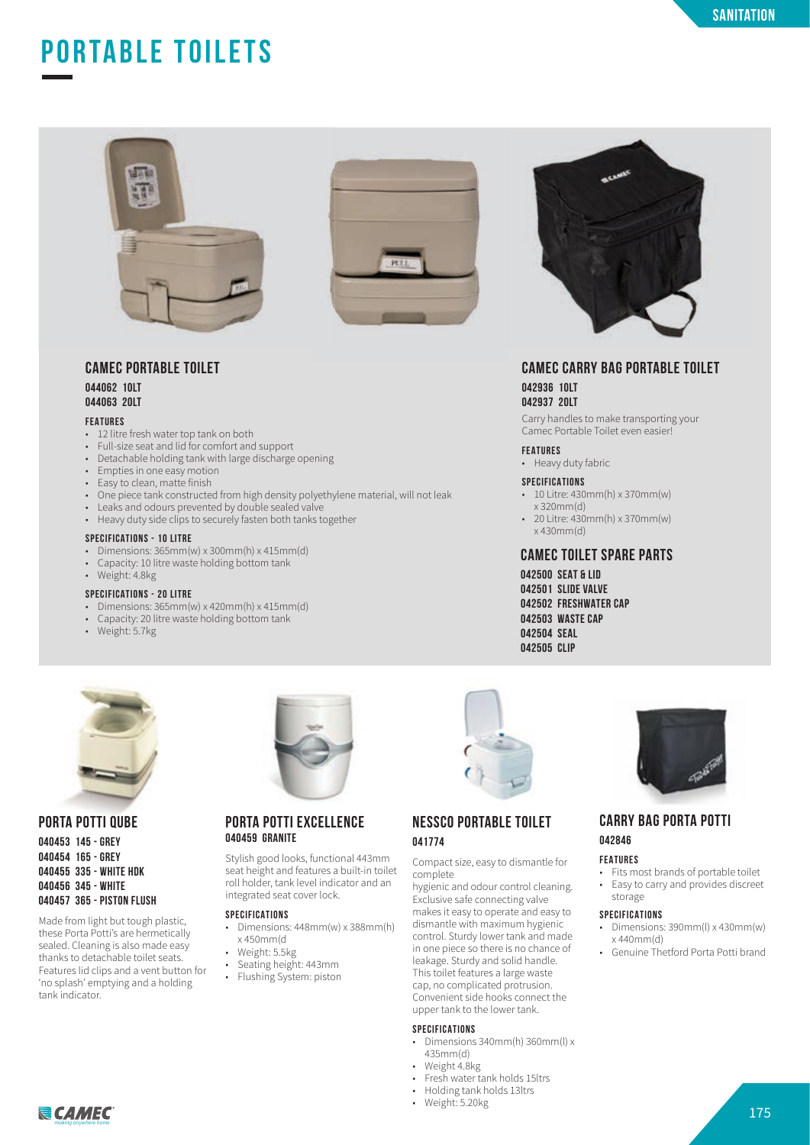## **PORTABLE TOILETS**





#### **CAMEC PORTABLE TOILET 044062 1OLT**

**044063 20LT**

#### **FEATURES**

- 12 litre fresh water top tank on both<br>• Full size soat and lid for comfort and
- Full-size seat and lid for comfort and support
- Detachable holding tank with large discharge opening
- Empties in one easy motion
- Easy to clean, matte finish
- One piece tank constructed from high density polyethylene material, will not leak
- Leaks and odours prevented by double sealed valve
- Heavy duty side clips to securely fasten both tanks together

#### **SPECIFICATIONS - 10 LITRE**

- Dimensions: 365mm(w) x 300mm(h) x 415mm(d)
- Capacity: 10 litre waste holding bottom tank
- Weight: 4.8kg
- **SPECIFICATIONS 20 LITRE**
- Dimensions: 365mm(w) x 420mm(h) x 415mm(d)
- Capacity: 20 litre waste holding bottom tank
- Weight: 5.7kg



#### **CAMEC CARRY BAG PORTABLE TOILET 042936 10LT 042937 20LT**

Carry handles to make transporting your Camec Portable Toilet even easier!

#### **FEATURES**

• Heavy duty fabric

#### **SPECIFICATIONS**

- 10 Litre: 430mm(h) x 370mm(w) x 320mm(d)
- 20 Litre: 430mm(h) x 370mm(w) x 430mm(d)

#### **CAMEC TOILET SPARE PARTS**

**042500 SEAT & LID 042501 SLIDE VALVE 042502 FRESHWATER CAP 042503 WASTE CAP 042504 SEAL 042505 CLIP**



#### **PORTA POTTI QUBE**

**040453 145 - GREY 040454 165 - GREY 040455 335 - WHITE HDK 040456 345 - WHITE 040457 365 - PISTON FLUSH**

Made from light but tough plastic, these Porta Potti's are hermetically sealed. Cleaning is also made easy thanks to detachable toilet seats. Features lid clips and a vent button for 'no splash' emptying and a holding tank indicator.

## **PORTA POTTI EXCELLENCE**

#### **040459 GRANITE**

Stylish good looks, functional 443mm seat height and features a built-in toilet roll holder, tank level indicator and an integrated seat cover lock.

#### **SPECIFICATIONS**

- Dimensions: 448mm(w) x 388mm(h) x 450mm(d
- Weight: 5.5kg
- Seating height:  $443$ mm
- Flushing System: piston



#### **NESSCO PORTABLE TOILET 041774**

Compact size, easy to dismantle for complete

hygienic and odour control cleaning. Exclusive safe connecting valve makes it easy to operate and easy to

dismantle with maximum hygienic control. Sturdy lower tank and made in one piece so there is no chance of leakage. Sturdy and solid handle. This toilet features a large waste cap, no complicated protrusion. Convenient side hooks connect the upper tank to the lower tank.

#### **SPECIFICATIONS**

- Dimensions 340mm(h) 360mm(l) x 435mm(d)
- Weight 4.8kg<br>• Fresh water to
	- Fresh water tank holds 15ltrs
- Holding tank holds 13ltrs
- Weight: 5.20kg



#### **CARRY BAG PORTA POTTI 042846**

#### **FEATURES**

• Fits most brands of portable toilet<br>• Easy to carry and provides discreed • Easy to carry and provides discreet storage

#### **SPECIFICATIONS**

- Dimensions: 390mm(l) x 430mm(w) x 440mm(d)
- Genuine Thetford Porta Potti brand

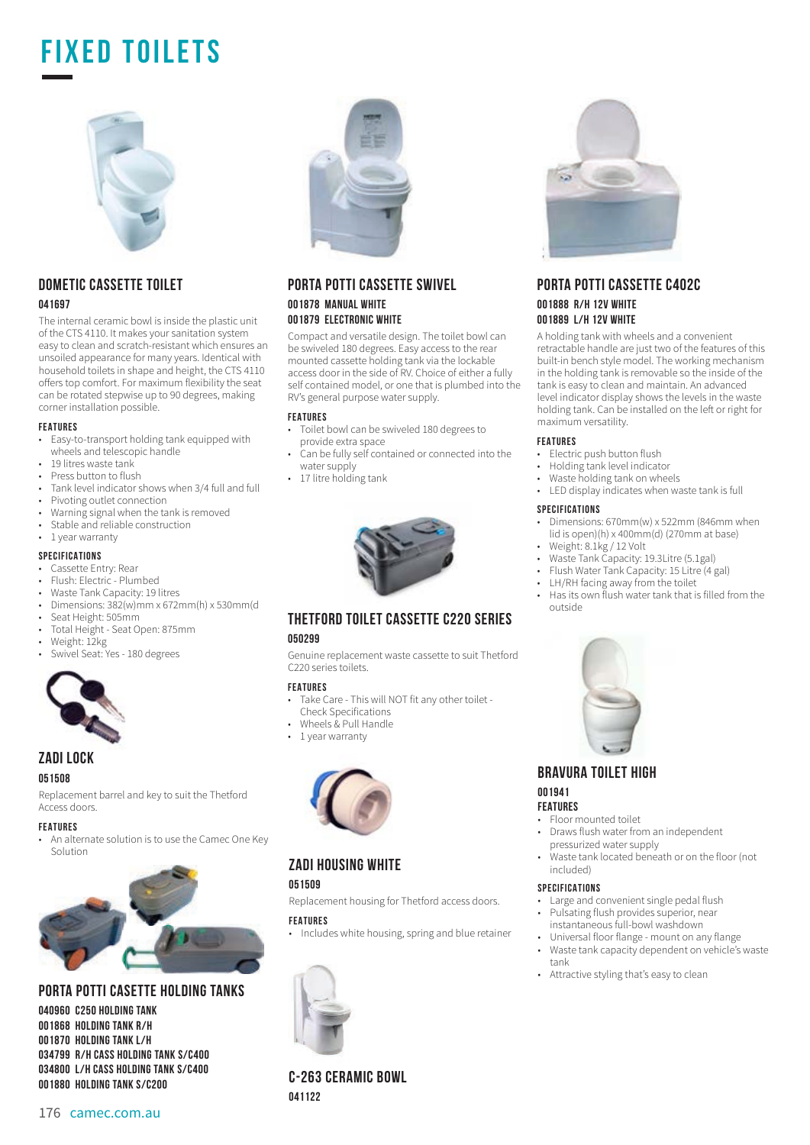## **FIXED TOILETS**



### **DOMETIC CASSETTE TOILET**

#### **041697**

The internal ceramic bowl is inside the plastic unit of the CTS 4110. It makes your sanitation system easy to clean and scratch-resistant which ensures an unsoiled appearance for many years. Identical with household toilets in shape and height, the CTS 4110 o£ers top comfort. For maximum flexibility the seat can be rotated stepwise up to 90 degrees, making corner installation possible.

#### **FEATURES**

- Easy-to-transport holding tank equipped with wheels and telescopic handle
- 19 litres waste tank
- Press button to flush
- Tank level indicator shows when 3/4 full and full
- Pivoting outlet connection<br>• Warning signal when the ta
- Warning signal when the tank is removed
- Stable and reliable construction
- 1 year warranty

#### **SPECIFICATIONS**

- Cassette Entry: Rear
- Flush: Electric Plumbed
- Waste Tank Capacity: 19 litres
- Dimensions:  $382(w)$ mm x 672mm(h) x 530mm(d<br>• Seat Height: 505mm
- Seat Height: 505mm
- Total Height Seat Open: 875mm
- Weight: 12kg
- Swivel Seat: Yes 180 degrees



#### **ZADI LOCK**

#### **051508**

Replacement barrel and key to suit the Thetford Access doors.

#### **FEATURES**

• An alternate solution is to use the Camec One Key Solution



#### **PORTA POTTI CASETTE HOLDING TANKS**

**040960 C250 HOLDING TANK 001868 HOLDING TANK R/H 001870 HOLDING TANK L/H 034799 R/H CASS HOLDING TANK S/C400 034800 L/H CASS HOLDING TANK S/C400 001880 HOLDING TANK S/C200**



#### **PORTA POTTI CASSETTE SWIVEL 001878 MANUAL WHITE 001879 ELECTRONIC WHITE**

Compact and versatile design. The toilet bowl can be swiveled 180 degrees. Easy access to the rear mounted cassette holding tank via the lockable access door in the side of RV. Choice of either a fully self contained model, or one that is plumbed into the RV's general purpose water supply.

#### **FEATURES**

- Toilet bowl can be swiveled 180 degrees to provide extra space
- Can be fully self contained or connected into the water supply
- 17 litre holding tank



#### **THETFORD TOILET CASSETTE C220 SERIES 050299**

Genuine replacement waste cassette to suit Thetford C220 series toilets.

#### **FEATURES**

- Take Care This will NOT fit any other toilet -
- Check Specifications
- Wheels & Pull Handle
- 1 year warranty



#### **ZADI HOUSING WHITE**

#### **051509**

Replacement housing for Thetford access doors.

#### **FEATURES**

• Includes white housing, spring and blue retainer



**C-263 CERAMIC BOWL 041122**



#### **PORTA POTTI CASSETTE C402C 001888 R/H 12V WHITE 001889 L/H 12V WHITE**

A holding tank with wheels and a convenient retractable handle are just two of the features of this built-in bench style model. The working mechanism in the holding tank is removable so the inside of the tank is easy to clean and maintain. An advanced level indicator display shows the levels in the waste holding tank. Can be installed on the left or right for maximum versatility.

#### **FEATURES**

- Electric push button flush
- Holding tank level indicator
- Waste holding tank on wheels
- LED display indicates when waste tank is full

#### **SPECIFICATIONS**

- Dimensions: 670mm(w) x 522mm (846mm when lid is open)(h) x 400mm(d) (270mm at base) • Weight: 8.1kg / 12 Volt
- Waste Tank Capacity: 19.3Litre (5.1gal)
- Flush Water Tank Capacity: 15 Litre (4 gal)
- LH/RH facing away from the toilet
- Has its own flush water tank that is filled from the outside



#### **BRAVURA TOILET HIGH**

#### **001941**

#### **FEATURES**

- Floor mounted toilet • Draws flush water from an independent pressurized water supply
- Waste tank located beneath or on the floor (not included)

#### **SPECIFICATIONS**

- Large and convenient single pedal flush • Pulsating flush provides superior, near
- instantaneous full-bowl washdown
- Universal floor flange mount on any flange
- Waste tank capacity dependent on vehicle's waste tank
- Attractive styling that's easy to clean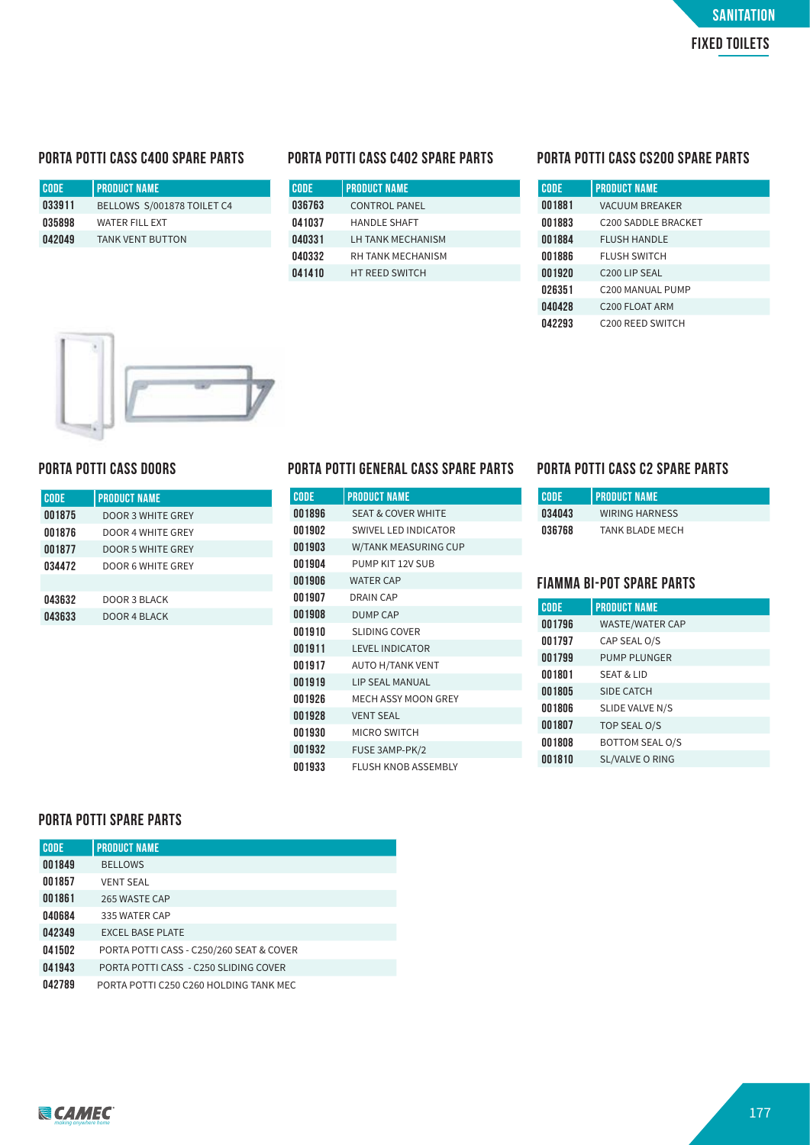#### **PORTA POTTI CASS C400 SPARE PARTS**

| I CODE. | I PRODUCT NAME             |
|---------|----------------------------|
| 033911  | BELLOWS S/001878 TOILET C4 |
| 035898  | <b>WATER FILL FXT</b>      |
| 042049  | <b>TANK VENT BUTTON</b>    |
|         |                            |

| <b>CODE</b> | <b>PRODUCT NAME</b>   |
|-------------|-----------------------|
| 036763      | <b>CONTROL PANEL</b>  |
| 041037      | <b>HANDLE SHAFT</b>   |
| 040331      | LH TANK MECHANISM     |
| 040332      | RH TANK MECHANISM     |
| 041410      | <b>HT REED SWITCH</b> |

#### **PORTA POTTI CASS C402 SPARE PARTS PORTA POTTI CASS CS200 SPARE PARTS**

| <b>CODE</b> | <b>PRODUCT NAME</b>             |
|-------------|---------------------------------|
| 001881      | <b>VACUUM BREAKER</b>           |
| 001883      | C <sub>200</sub> SADDLE BRACKET |
| 001884      | <b>FLUSH HANDLE</b>             |
| 001886      | <b>FLUSH SWITCH</b>             |
| 001920      | C <sub>200</sub> LIP SEAL       |
| 026351      | C <sub>200</sub> MANUAL PUMP    |
| 040428      | C <sub>200</sub> FLOAT ARM      |
| 042293      | C <sub>200</sub> REED SWITCH    |



#### **PORTA POTTI CASS DOORS**

| <b>CODE</b> | <b>PRODUCT NAME</b> |
|-------------|---------------------|
| 001875      | DOOR 3 WHITE GREY   |
| 001876      | DOOR 4 WHITE GREY   |
| 001877      | DOOR 5 WHITE GREY   |
| 034472      | DOOR 6 WHITE GREY   |
|             |                     |
| 043632      | DOOR 3 BLACK        |
| 043633      | DOOR 4 BLACK        |
|             |                     |

#### **PORTA POTTI GENERAL CASS SPARE PARTS PORTA POTTI CASS C2 SPARE PARTS**

| <b>CODE</b> | <b>PRODUCT NAME</b>           |
|-------------|-------------------------------|
| 001896      | <b>SEAT &amp; COVER WHITE</b> |
| 001902      | SWIVEL LED INDICATOR          |
| 001903      | W/TANK MEASURING CUP          |
| 001904      | PUMP KIT 12V SUB              |
| 001906      | <b>WATER CAP</b>              |
| 001907      | <b>DRAIN CAP</b>              |
| 001908      | <b>DUMP CAP</b>               |
| 001910      | <b>SLIDING COVER</b>          |
| 001911      | <b>LEVEL INDICATOR</b>        |
| 001917      | <b>AUTO H/TANK VENT</b>       |
| 001919      | <b>LIP SEAL MANUAL</b>        |
| 001926      | <b>MECH ASSY MOON GREY</b>    |
| 001928      | <b>VENT SEAL</b>              |
| 001930      | <b>MICRO SWITCH</b>           |
| 001932      | FUSE 3AMP-PK/2                |
| 001933      | <b>FLUSH KNOB ASSEMBLY</b>    |

| <b>CODE</b> | <b>I PRODUCT NAME</b>  |
|-------------|------------------------|
| 034043      | <b>WIRING HARNESS</b>  |
| 036768      | <b>TANK BLADE MECH</b> |

#### **FIAMMA BI-POT SPARE PARTS**

| <b>CODE</b> | <b>PRODUCT NAME</b>    |
|-------------|------------------------|
| 001796      | <b>WASTE/WATER CAP</b> |
| 001797      | CAP SEAL O/S           |
| 001799      | <b>PUMP PLUNGER</b>    |
| 001801      | <b>SEAT &amp; LID</b>  |
| 001805      | SIDE CATCH             |
| 001806      | SLIDE VALVE N/S        |
| 001807      | TOP SEAL O/S           |
| 001808      | <b>BOTTOM SEAL O/S</b> |
| 001810      | <b>SL/VALVE O RING</b> |

#### **PORTA POTTI SPARE PARTS**

| <b>CODE</b> | <b>PRODUCT NAME</b>                      |
|-------------|------------------------------------------|
| 001849      | <b>BELLOWS</b>                           |
| 001857      | <b>VENT SEAL</b>                         |
| 001861      | 265 WASTE CAP                            |
| 040684      | 335 WATER CAP                            |
| 042349      | <b>EXCEL BASE PLATE</b>                  |
| 041502      | PORTA POTTI CASS - C250/260 SEAT & COVER |
| 041943      | PORTA POTTI CASS - C250 SLIDING COVER    |
| 042789      | PORTA POTTI C250 C260 HOLDING TANK MEC   |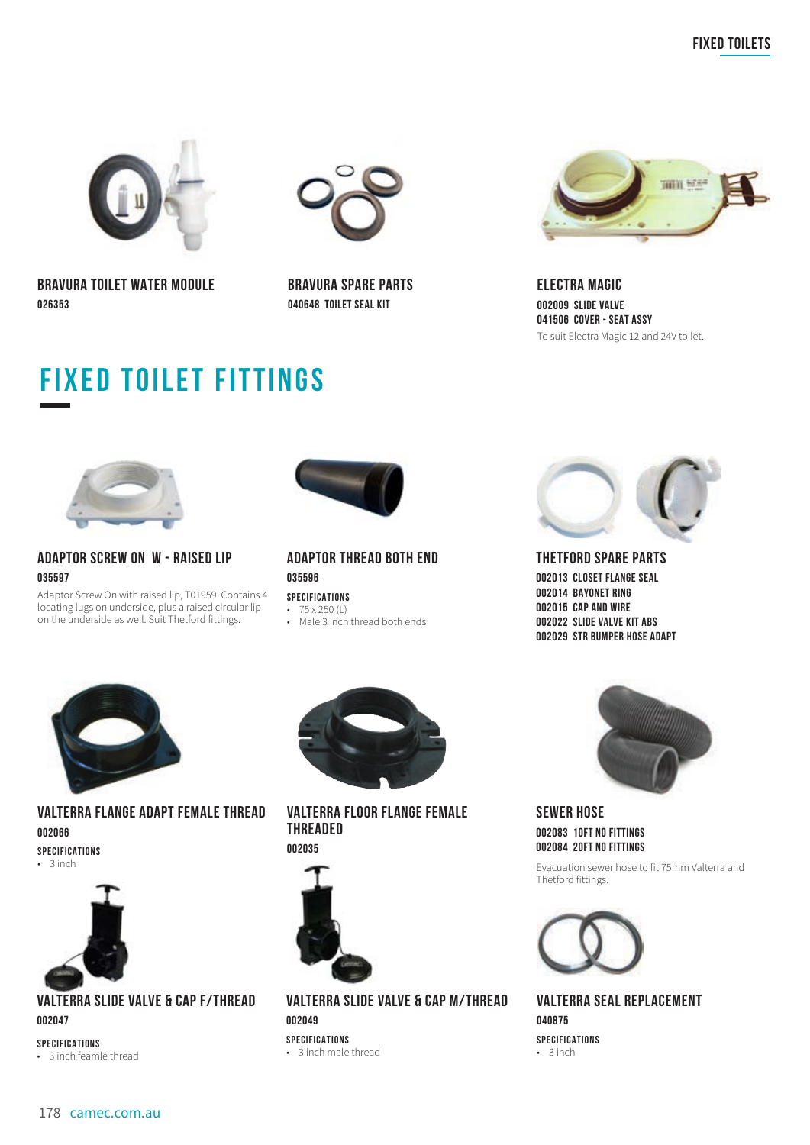



**BRAVURA TOILET WATER MODULE 026353**

**BRAVURA SPARE PARTS 040648 TOILET SEAL KIT**



**ELECTRA MAGIC 002009 SLIDE VALVE 041506 COVER - SEAT ASSY** To suit Electra Magic 12 and 24V toilet.

## **fixed TOILET fittings**



#### **ADAPTOR SCREW ON W - RAISED LIP 035597**

Adaptor Screw On with raised lip, T01959. Contains 4 locating lugs on underside, plus a raised circular lip on the underside as well. Suit Thetford fittings.



#### **ADAPTOR THREAD BOTH END 035596**

**SPECIFICATIONS** • 75 x 250 (L) • Male 3 inch thread both ends



**VALTERRA FLANGE ADAPT FEMALE THREAD 002066 SPECIFICATIONS** • 3 inch



**VALTERRA SLIDE VALVE & CAP F/THREAD 002047**

**SPECIFICATIONS**

• 3 inch feamle thread



**VALTERRA FLOOR FLANGE FEMALE THREADED 002035**



**VALTERRA SLIDE VALVE & CAP M/THREAD 002049 SPECIFICATIONS**

• 3 inch male thread



**THETFORD SPARE PARTS 002013 CLOSET FLANGE SEAL 002014 BAYONET RING 002015 CAP AND WIRE 002022 SLIDE VALVE KIT ABS 002029 STR BUMPER HOSE ADAPT**



**SEWER HOSE 002083 10FT NO FITTINGS 002084 20FT NO FITTINGS**

Evacuation sewer hose to fit 75mm Valterra and Thetford fittings.



**VALTERRA SEAL REPLACEMENT 040875 SPECIFICATIONS** • 3 inch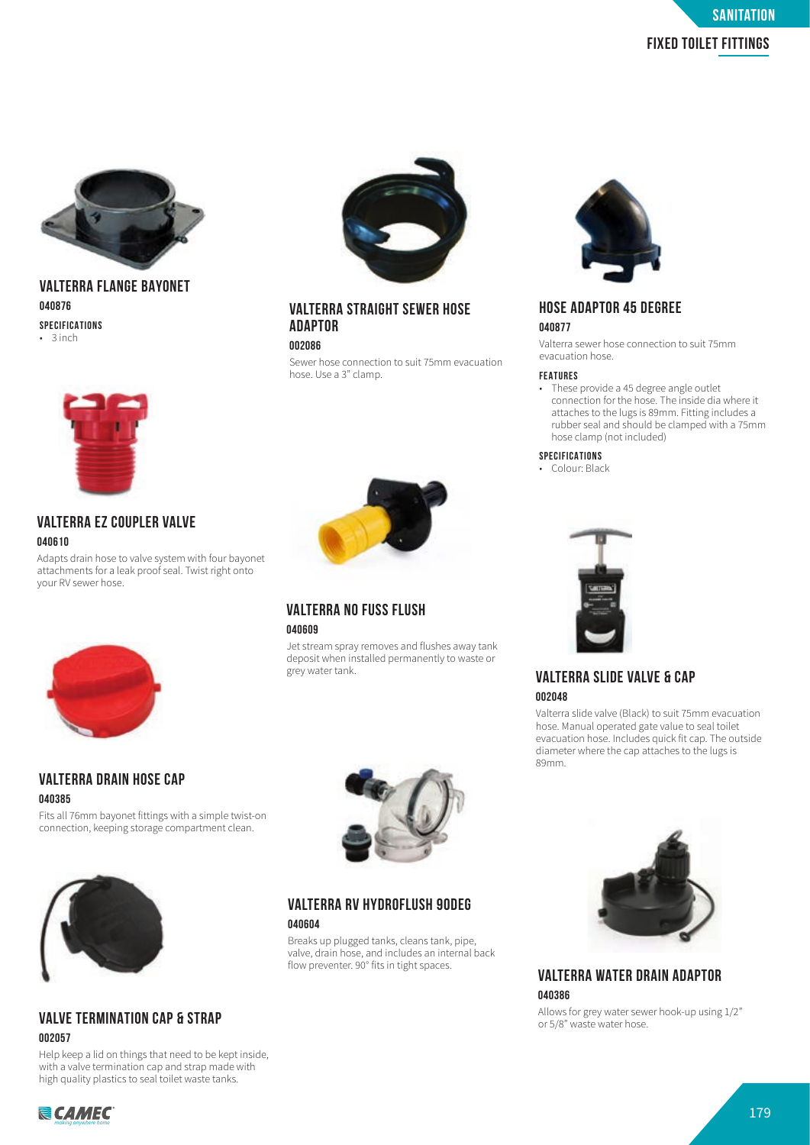

#### **VALTERRA FLANGE BAYONET 040876 SPECIFICATIONS** • 3 inch



#### **VALTERRA EZ COUPLER VALVE 040610**

Adapts drain hose to valve system with four bayonet attachments for a leak proof seal. Twist right onto your RV sewer hose.



#### **VALTERRA DRAIN HOSE CAP 040385**

Fits all 76mm bayonet fittings with a simple twist-on connection, keeping storage compartment clean.



#### **VALVE TERMINATION CAP & STRAP 002057**

Help keep a lid on things that need to be kept inside, with a valve termination cap and strap made with high quality plastics to seal toilet waste tanks.



#### **VALTERRA STRAIGHT SEWER HOSE ADAPTOR**

#### **002086**

Sewer hose connection to suit 75mm evacuation hose. Use a 3" clamp.



#### **VALTERRA NO FUSS FLUSH 040609**

Jet stream spray removes and flushes away tank deposit when installed permanently to waste or grey water tank.



#### **HOSE ADAPTOR 45 DEGREE 040877**

Valterra sewer hose connection to suit 75mm evacuation hose.

#### **FEATURES**

• These provide a 45 degree angle outlet connection for the hose. The inside dia where it attaches to the lugs is 89mm. Fitting includes a rubber seal and should be clamped with a 75mm hose clamp (not included)

#### **SPECIFICATIONS**

• Colour: Black



#### **VALTERRA SLIDE VALVE & CAP 002048**

Valterra slide valve (Black) to suit 75mm evacuation hose. Manual operated gate value to seal toilet evacuation hose. Includes quick fit cap. The outside diameter where the cap attaches to the lugs is 89mm.



**VALTERRA WATER DRAIN ADAPTOR 040386**

Allows for grey water sewer hook-up using  $1/2$ "<br>or  $5/8$ " waste water hose.

179 *making anywhere home*



**VALTERRA RV HYDROFLUSH 90DEG 040604**

Breaks up plugged tanks, cleans tank, pipe, valve, drain hose, and includes an internal back flow preventer. 90° fits in tight spaces.